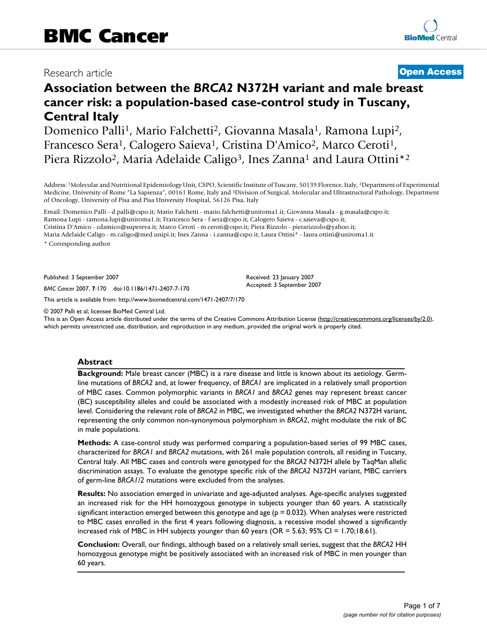## Research article **[Open Access](http://www.biomedcentral.com/info/about/charter/)**

# **Association between the** *BRCA2* **N372H variant and male breast cancer risk: a population-based case-control study in Tuscany, Central Italy**

Domenico Palli<sup>1</sup>, Mario Falchetti<sup>2</sup>, Giovanna Masala<sup>1</sup>, Ramona Lupi<sup>2</sup>, Francesco Sera<sup>1</sup>, Calogero Saieva<sup>1</sup>, Cristina D'Amico<sup>2</sup>, Marco Ceroti<sup>1</sup>, Piera Rizzolo<sup>2</sup>, Maria Adelaide Caligo<sup>3</sup>, Ines Zanna<sup>1</sup> and Laura Ottini<sup>\*2</sup>

Address: 1Molecular and Nutritional Epidemiology Unit, CSPO, Scientific Institute of Tuscany, 50139 Florence, Italy, 2Department of Experimental Medicine, University of Rome "La Sapienza", 00161 Rome, Italy and 3Division of Surgical, Molecular and Ultrastructural Pathology, Department of Oncology, University of Pisa and Pisa University Hospital, 56126 Pisa, Italy

Email: Domenico Palli - d.palli@cspo.it; Mario Falchetti - mario.falchetti@uniroma1.it; Giovanna Masala - g.masala@cspo.it; Ramona Lupi - ramona.lupi@uniroma1.it; Francesco Sera - f.sera@cspo.it; Calogero Saieva - c.saieva@cspo.it; Cristina D'Amico - cdamico@supereva.it; Marco Ceroti - m.ceroti@cspo.it; Piera Rizzolo - pierarizzolo@yahoo.it; Maria Adelaide Caligo - m.caligo@med.unipi.it; Ines Zanna - i.zanna@cspo.it; Laura Ottini\* - laura.ottini@uniroma1.it

\* Corresponding author

Published: 3 September 2007

*BMC Cancer* 2007, **7**:170 doi:10.1186/1471-2407-7-170

[This article is available from: http://www.biomedcentral.com/1471-2407/7/170](http://www.biomedcentral.com/1471-2407/7/170)

© 2007 Palli et al; licensee BioMed Central Ltd.

This is an Open Access article distributed under the terms of the Creative Commons Attribution License [\(http://creativecommons.org/licenses/by/2.0\)](http://creativecommons.org/licenses/by/2.0), which permits unrestricted use, distribution, and reproduction in any medium, provided the original work is properly cited.

Received: 23 January 2007 Accepted: 3 September 2007

#### **Abstract**

**Background:** Male breast cancer (MBC) is a rare disease and little is known about its aetiology. Germline mutations of *BRCA2* and, at lower frequency, of *BRCA1* are implicated in a relatively small proportion of MBC cases. Common polymorphic variants in *BRCA1* and *BRCA2* genes may represent breast cancer (BC) susceptibility alleles and could be associated with a modestly increased risk of MBC at population level. Considering the relevant role of *BRCA2* in MBC, we investigated whether the *BRCA2* N372H variant, representing the only common non-synonymous polymorphism in *BRCA2*, might modulate the risk of BC in male populations.

**Methods:** A case-control study was performed comparing a population-based series of 99 MBC cases, characterized for *BRCA1* and *BRCA2* mutations, with 261 male population controls, all residing in Tuscany, Central Italy. All MBC cases and controls were genotyped for the *BRCA2* N372H allele by TaqMan allelic discrimination assays. To evaluate the genotype specific risk of the *BRCA2* N372H variant, MBC carriers of germ-line *BRCA1/2* mutations were excluded from the analyses.

**Results:** No association emerged in univariate and age-adjusted analyses. Age-specific analyses suggested an increased risk for the HH homozygous genotype in subjects younger than 60 years. A statistically significant interaction emerged between this genotype and age ( $p = 0.032$ ). When analyses were restricted to MBC cases enrolled in the first 4 years following diagnosis, a recessive model showed a significantly increased risk of MBC in HH subjects younger than 60 years (OR = 5.63; 95% CI = 1.70;18.61).

**Conclusion:** Overall, our findings, although based on a relatively small series, suggest that the *BRCA2* HH homozygous genotype might be positively associated with an increased risk of MBC in men younger than 60 years.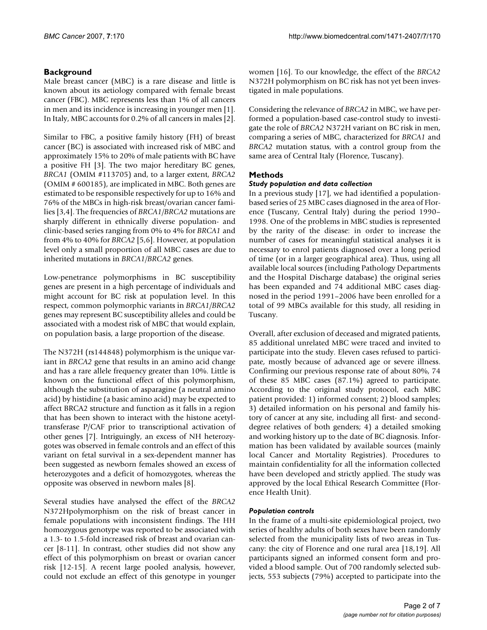### **Background**

Male breast cancer (MBC) is a rare disease and little is known about its aetiology compared with female breast cancer (FBC). MBC represents less than 1% of all cancers in men and its incidence is increasing in younger men [1]. In Italy, MBC accounts for 0.2% of all cancers in males [2].

Similar to FBC, a positive family history (FH) of breast cancer (BC) is associated with increased risk of MBC and approximately 15% to 20% of male patients with BC have a positive FH [3]. The two major hereditary BC genes, *BRCA1* (OMIM #113705) and, to a larger extent, *BRCA2* (OMIM # 600185), are implicated in MBC. Both genes are estimated to be responsible respectively for up to 16% and 76% of the MBCs in high-risk breast/ovarian cancer families [3,4]. The frequencies of *BRCA1/BRCA2* mutations are sharply different in ethnically diverse population- and clinic-based series ranging from 0% to 4% for *BRCA1* and from 4% to 40% for *BRCA2* [5,6]. However, at population level only a small proportion of all MBC cases are due to inherited mutations in *BRCA1/BRCA2* genes.

Low-penetrance polymorphisms in BC susceptibility genes are present in a high percentage of individuals and might account for BC risk at population level. In this respect, common polymorphic variants in *BRCA1/BRCA2* genes may represent BC susceptibility alleles and could be associated with a modest risk of MBC that would explain, on population basis, a large proportion of the disease.

The N372H (rs144848) polymorphism is the unique variant in *BRCA2* gene that results in an amino acid change and has a rare allele frequency greater than 10%. Little is known on the functional effect of this polymorphism, although the substitution of asparagine (a neutral amino acid) by histidine (a basic amino acid) may be expected to affect BRCA2 structure and function as it falls in a region that has been shown to interact with the histone acetyltransferase P/CAF prior to transcriptional activation of other genes [7]. Intriguingly, an excess of NH heterozygotes was observed in female controls and an effect of this variant on fetal survival in a sex-dependent manner has been suggested as newborn females showed an excess of heterozygotes and a deficit of homozygotes, whereas the opposite was observed in newborn males [8].

Several studies have analysed the effect of the *BRCA2* N372Hpolymorphism on the risk of breast cancer in female populations with inconsistent findings. The HH homozygous genotype was reported to be associated with a 1.3- to 1.5-fold increased risk of breast and ovarian cancer [8-11]. In contrast, other studies did not show any effect of this polymorphism on breast or ovarian cancer risk [12-15]. A recent large pooled analysis, however, could not exclude an effect of this genotype in younger women [16]. To our knowledge, the effect of the *BRCA2* N372H polymorphism on BC risk has not yet been investigated in male populations.

Considering the relevance of *BRCA2* in MBC, we have performed a population-based case-control study to investigate the role of *BRCA2* N372H variant on BC risk in men, comparing a series of MBC, characterized for *BRCA1* and *BRCA2* mutation status, with a control group from the same area of Central Italy (Florence, Tuscany).

#### **Methods**

#### *Study population and data collection*

In a previous study [17], we had identified a populationbased series of 25 MBC cases diagnosed in the area of Florence (Tuscany, Central Italy) during the period 1990– 1998. One of the problems in MBC studies is represented by the rarity of the disease: in order to increase the number of cases for meaningful statistical analyses it is necessary to enrol patients diagnosed over a long period of time (or in a larger geographical area). Thus, using all available local sources (including Pathology Departments and the Hospital Discharge database) the original series has been expanded and 74 additional MBC cases diagnosed in the period 1991–2006 have been enrolled for a total of 99 MBCs available for this study, all residing in Tuscany.

Overall, after exclusion of deceased and migrated patients, 85 additional unrelated MBC were traced and invited to participate into the study. Eleven cases refused to participate, mostly because of advanced age or severe illness. Confirming our previous response rate of about 80%, 74 of these 85 MBC cases (87.1%) agreed to participate. According to the original study protocol, each MBC patient provided: 1) informed consent; 2) blood samples; 3) detailed information on his personal and family history of cancer at any site, including all first- and seconddegree relatives of both genders; 4) a detailed smoking and working history up to the date of BC diagnosis. Information has been validated by available sources (mainly local Cancer and Mortality Registries). Procedures to maintain confidentiality for all the information collected have been developed and strictly applied. The study was approved by the local Ethical Research Committee (Florence Health Unit).

#### *Population controls*

In the frame of a multi-site epidemiological project, two series of healthy adults of both sexes have been randomly selected from the municipality lists of two areas in Tuscany: the city of Florence and one rural area [18,19]. All participants signed an informed consent form and provided a blood sample. Out of 700 randomly selected subjects, 553 subjects (79%) accepted to participate into the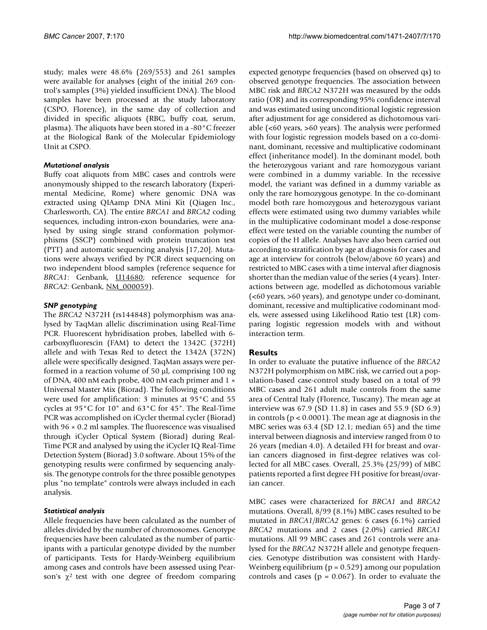study; males were 48.6% (269/553) and 261 samples were available for analyses (eight of the initial 269 control's samples (3%) yielded insufficient DNA). The blood samples have been processed at the study laboratory (CSPO, Florence), in the same day of collection and divided in specific aliquots (RBC, buffy coat, serum, plasma). The aliquots have been stored in a -80°C freezer at the Biological Bank of the Molecular Epidemiology Unit at CSPO.

#### *Mutational analysis*

Buffy coat aliquots from MBC cases and controls were anonymously shipped to the research laboratory (Experimental Medicine, Rome) where genomic DNA was extracted using QIAamp DNA Mini Kit (Qiagen Inc., Charlesworth, CA). The entire *BRCA1* and *BRCA2* coding sequences, including intron-exon boundaries, were analysed by using single strand conformation polymorphisms (SSCP) combined with protein truncation test (PTT) and automatic sequencing analysis [17,20]. Mutations were always verified by PCR direct sequencing on two independent blood samples (reference sequence for *BRCA1*: Genbank, [U14680;](http://www.ebi.ac.uk/cgi-bin/dbfetch?U14680.1) reference sequence for *BRCA2*: Genbank, [NM\\_000059\)](http://www.ebi.ac.uk/cgi-bin/dbfetch?NM_000059.1).

#### *SNP genotyping*

The *BRCA2* N372H (rs144848) polymorphism was analysed by TaqMan allelic discrimination using Real-Time PCR. Fluorescent hybridisation probes, labelled with 6 carboxyfluorescin (FAM) to detect the 1342C (372H) allele and with Texas Red to detect the 1342A (372N) allele were specifically designed. TaqMan assays were performed in a reaction volume of 50 µl, comprising 100 ng of DNA, 400 nM each probe, 400 nM each primer and 1 × Universal Master Mix (Biorad). The following conditions were used for amplification: 3 minutes at 95°C and 55 cycles at 95°C for 10" and 63°C for 45". The Real-Time PCR was accomplished on iCycler thermal cycler (Biorad) with  $96 \times 0.2$  ml samples. The fluorescence was visualised through iCycler Optical System (Biorad) during Real-Time PCR and analysed by using the iCycler IQ Real-Time Detection System (Biorad) 3.0 software. About 15% of the genotyping results were confirmed by sequencing analysis. The genotype controls for the three possible genotypes plus "no template" controls were always included in each analysis.

#### *Statistical analysis*

Allele frequencies have been calculated as the number of alleles divided by the number of chromosomes. Genotype frequencies have been calculated as the number of participants with a particular genotype divided by the number of participants. Tests for Hardy-Weinberg equilibrium among cases and controls have been assessed using Pearson's  $\chi^2$  test with one degree of freedom comparing expected genotype frequencies (based on observed qs) to observed genotype frequencies. The association between MBC risk and *BRCA2* N372H was measured by the odds ratio (OR) and its corresponding 95% confidence interval and was estimated using unconditional logistic regression after adjustment for age considered as dichotomous variable (<60 years, >60 years). The analysis were performed with four logistic regression models based on a co-dominant, dominant, recessive and multiplicative codominant effect (inheritance model). In the dominant model, both the heterozygous variant and rare homozygous variant were combined in a dummy variable. In the recessive model, the variant was defined in a dummy variable as only the rare homozygous genotype. In the co-dominant model both rare homozygous and heterozygous variant effects were estimated using two dummy variables while in the multiplicative codominant model a dose-response effect were tested on the variable counting the number of copies of the H allele. Analyses have also been carried out according to stratification by age at diagnosis for cases and age at interview for controls (below/above 60 years) and restricted to MBC cases with a time interval after diagnosis shorter than the median value of the series (4 years). Interactions between age, modelled as dichotomous variable (<60 years, >60 years), and genotype under co-dominant, dominant, recessive and multiplicative codominant models, were assessed using Likelihood Ratio test (LR) comparing logistic regression models with and without interaction term.

#### **Results**

In order to evaluate the putative influence of the *BRCA2* N372H polymorphism on MBC risk, we carried out a population-based case-control study based on a total of 99 MBC cases and 261 adult male controls from the same area of Central Italy (Florence, Tuscany). The mean age at interview was 67.9 (SD 11.8) in cases and 55.9 (SD 6.9) in controls ( $p < 0.0001$ ). The mean age at diagnosis in the MBC series was 63.4 (SD 12.1; median 65) and the time interval between diagnosis and interview ranged from 0 to 26 years (median 4.0). A detailed FH for breast and ovarian cancers diagnosed in first-degree relatives was collected for all MBC cases. Overall, 25.3% (25/99) of MBC patients reported a first degree FH positive for breast/ovarian cancer.

MBC cases were characterized for *BRCA1* and *BRCA2* mutations. Overall, 8/99 (8.1%) MBC cases resulted to be mutated in *BRCA1/BRCA2* genes: 6 cases (6.1%) carried *BRCA2* mutations and 2 cases (2.0%) carried *BRCA1* mutations. All 99 MBC cases and 261 controls were analysed for the *BRCA2* N372H allele and genotype frequencies. Genotype distribution was consistent with Hardy-Weinberg equilibrium ( $p = 0.529$ ) among our population controls and cases ( $p = 0.067$ ). In order to evaluate the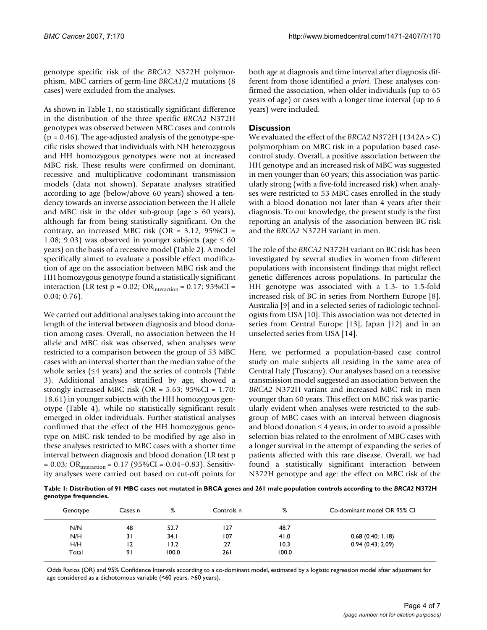genotype specific risk of the *BRCA2* N372H polymorphism, MBC carriers of germ-line *BRCA1/2* mutations (8 cases) were excluded from the analyses.

As shown in Table 1, no statistically significant difference in the distribution of the three specific *BRCA2* N372H genotypes was observed between MBC cases and controls  $(p = 0.46)$ . The age-adjusted analysis of the genotype-specific risks showed that individuals with NH heterozygous and HH homozygous genotypes were not at increased MBC risk. These results were confirmed on dominant, recessive and multiplicative codominant transmission models (data not shown). Separate analyses stratified according to age (below/above 60 years) showed a tendency towards an inverse association between the H allele and MBC risk in the older sub-group (age > 60 years), although far from being statistically significant. On the contrary, an increased MBC risk (OR =  $3.12$ ; 95%CI = 1.08; 9.03) was observed in younger subjects (age  $\leq 60$ years) on the basis of a recessive model (Table 2). A model specifically aimed to evaluate a possible effect modification of age on the association between MBC risk and the HH homozygous genotype found a statistically significant interaction (LR test p = 0.02; OR $_{interaction}$  = 0.17; 95%CI = 0.04; 0.76).

We carried out additional analyses taking into account the length of the interval between diagnosis and blood donation among cases. Overall, no association between the H allele and MBC risk was observed, when analyses were restricted to a comparison between the group of 53 MBC cases with an interval shorter than the median value of the whole series (≤4 years) and the series of controls (Table 3). Additional analyses stratified by age, showed a strongly increased MBC risk (OR = 5.63; 95%CI = 1.70; 18.61) in younger subjects with the HH homozygous genotype (Table 4), while no statistically significant result emerged in older individuals. Further statistical analyses confirmed that the effect of the HH homozygous genotype on MBC risk tended to be modified by age also in these analyses restricted to MBC cases with a shorter time interval between diagnosis and blood donation (LR test p  $= 0.03$ ; OR<sub>interaction</sub>  $= 0.17$  (95%CI  $= 0.04 - 0.83$ ). Sensitivity analyses were carried out based on cut-off points for both age at diagnosis and time interval after diagnosis different from those identified *a priori*. These analyses confirmed the association, when older individuals (up to 65 years of age) or cases with a longer time interval (up to 6 years) were included.

#### **Discussion**

We evaluated the effect of the *BRCA2* N372H (1342A > C) polymorphism on MBC risk in a population based casecontrol study. Overall, a positive association between the HH genotype and an increased risk of MBC was suggested in men younger than 60 years; this association was particularly strong (with a five-fold increased risk) when analyses were restricted to 53 MBC cases enrolled in the study with a blood donation not later than 4 years after their diagnosis. To our knowledge, the present study is the first reporting an analysis of the association between BC risk and the *BRCA2* N372H variant in men.

The role of the *BRCA2* N372H variant on BC risk has been investigated by several studies in women from different populations with inconsistent findings that might reflect genetic differences across populations. In particular the HH genotype was associated with a 1.3- to 1.5-fold increased risk of BC in series from Northern Europe [8], Australia [9] and in a selected series of radiologic technologists from USA [10]. This association was not detected in series from Central Europe [13], Japan [12] and in an unselected series from USA [14].

Here, we performed a population-based case control study on male subjects all residing in the same area of Central Italy (Tuscany). Our analyses based on a recessive transmission model suggested an association between the *BRCA2* N372H variant and increased MBC risk in men younger than 60 years. This effect on MBC risk was particularly evident when analyses were restricted to the subgroup of MBC cases with an interval between diagnosis and blood donation  $\leq 4$  years, in order to avoid a possible selection bias related to the enrolment of MBC cases with a longer survival in the attempt of expanding the series of patients affected with this rare disease. Overall, we had found a statistically significant interaction between N372H genotype and age: the effect on MBC risk of the

**Table 1: Distribution of 91 MBC cases not mutated in BRCA genes and 261 male population controls according to the** *BRCA2* **N372H genotype frequencies.**

| Genotype | Cases n | %     | Controls n | %     | Co-dominant model OR 95% CI |
|----------|---------|-------|------------|-------|-----------------------------|
| N/N      | 48      | 52.7  | 127        | 48.7  |                             |
| N/H      | 31      | 34.1  | 107        | 41.0  | 0.68(0.40; 1.18)            |
| H/H      | 12      | 13.2  | 27         | 10.3  | 0.94(0.43; 2.09)            |
| Total    | 91      | 100.0 | 261        | 100.0 |                             |

Odds Ratios (OR) and 95% Confidence Intervals according to a co-dominant model, estimated by a logistic regression model after adjustment for age considered as a dichotomous variable (<60 years, >60 years).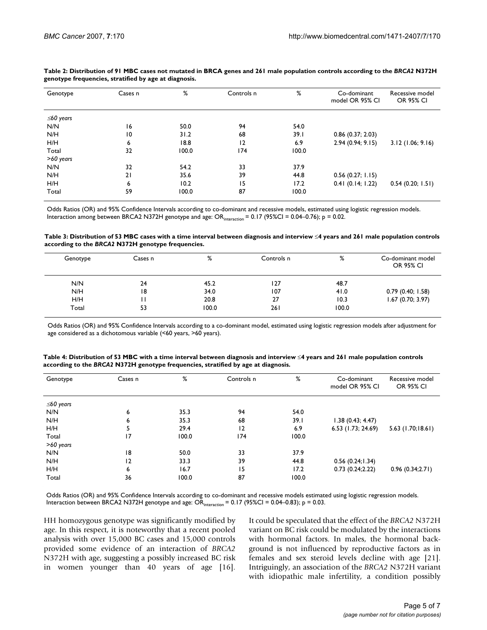| Genotype        | Cases n        | %     | Controls n     | %     | Co-dominant<br>model OR 95% CI | Recessive model<br><b>OR 95% CI</b> |
|-----------------|----------------|-------|----------------|-------|--------------------------------|-------------------------------------|
| $\leq 60$ years |                |       |                |       |                                |                                     |
| N/N             | 16             | 50.0  | 94             | 54.0  |                                |                                     |
| N/H             | $\overline{0}$ | 31.2  | 68             | 39.1  | $0.86$ (0.37; 2.03)            |                                     |
| H/H             | 6              | 18.8  | $\overline{2}$ | 6.9   | 2.94(0.94; 9.15)               | 3.12(1.06; 9.16)                    |
| Total           | 32             | 100.0 | 174            | 100.0 |                                |                                     |
| $>60$ years     |                |       |                |       |                                |                                     |
| N/N             | 32             | 54.2  | 33             | 37.9  |                                |                                     |
| N/H             | 21             | 35.6  | 39             | 44.8  | 0.56(0.27; 1.15)               |                                     |
| H/H             | 6              | 10.2  | 15             | 17.2  | 0.41(0.14; 1.22)               | 0.54(0.20; 1.51)                    |
| Total           | 59             | 100.0 | 87             | 100.0 |                                |                                     |

#### **Table 2: Distribution of 91 MBC cases not mutated in BRCA genes and 261 male population controls according to the** *BRCA2* **N372H genotype frequencies, stratified by age at diagnosis.**

Odds Ratios (OR) and 95% Confidence Intervals according to co-dominant and recessive models, estimated using logistic regression models. Interaction among between BRCA2 N372H genotype and age: ORinteraction = 0.17 (95%CI = 0.04–0.76); p = 0.02.

| Table 3: Distribution of 53 MBC cases with a time interval between diagnosis and interview $\leq 4$ years and 261 male population controls |  |
|--------------------------------------------------------------------------------------------------------------------------------------------|--|
| according to the BRCA2 N372H genotype frequencies.                                                                                         |  |

| Genotype | Cases n | %     | Controls n | %     | Co-dominant model<br><b>OR 95% CI</b> |
|----------|---------|-------|------------|-------|---------------------------------------|
| N/N      | 24      | 45.2  | 127        | 48.7  |                                       |
| N/H      | 18      | 34.0  | 107        | 41.0  | 0.79(0.40; 1.58)                      |
| H/H      | н       | 20.8  | 27         | 10.3  | $1.67$ (0.70; 3.97)                   |
| Total    | 53      | 100.0 | 261        | 100.0 |                                       |

Odds Ratios (OR) and 95% Confidence Intervals according to a co-dominant model, estimated using logistic regression models after adjustment for age considered as a dichotomous variable (<60 years, >60 years).

| Genotype  | Cases n | %     | Controls n     | %     | Co-dominant<br>model OR 95% CI | Recessive model<br><b>OR 95% CI</b> |
|-----------|---------|-------|----------------|-------|--------------------------------|-------------------------------------|
| ≤60 years |         |       |                |       |                                |                                     |
| N/N       | 6       | 35.3  | 94             | 54.0  |                                |                                     |
| N/H       | 6       | 35.3  | 68             | 39.I  | 1.38(0.43; 4.47)               |                                     |
| H/H       | 5       | 29.4  | $\overline{2}$ | 6.9   | 6.53 (1.73; 24.69)             | $5.63$ (1.70;18.61)                 |
| Total     | 17      | 100.0 | 174            | 100.0 |                                |                                     |
| >60 years |         |       |                |       |                                |                                     |
| N/N       | 18      | 50.0  | 33             | 37.9  |                                |                                     |
| N/H       | 2       | 33.3  | 39             | 44.8  | 0.56(0.24;1.34)                |                                     |
| H/H       | 6       | 16.7  | 15             | 17.2  | 0.73(0.24;2.22)                | 0.96(0.34;2.71)                     |
| Total     | 36      | 100.0 | 87             | 100.0 |                                |                                     |

| Table 4: Distribution of 53 MBC with a time interval between diagnosis and interview ≤4 years and 261 male population controls |
|--------------------------------------------------------------------------------------------------------------------------------|
| according to the BRCA2 N372H genotype frequencies, stratified by age at diagnosis.                                             |

Odds Ratios (OR) and 95% Confidence Intervals according to co-dominant and recessive models estimated using logistic regression models. Interaction between BRCA2 N372H genotype and age:  $OR<sub>interaction</sub> = 0.17$  (95%CI = 0.04–0.83); p = 0.03.

HH homozygous genotype was significantly modified by age. In this respect, it is noteworthy that a recent pooled analysis with over 15,000 BC cases and 15,000 controls provided some evidence of an interaction of *BRCA2* N372H with age, suggesting a possibly increased BC risk in women younger than 40 years of age [16]. It could be speculated that the effect of the *BRCA2* N372H variant on BC risk could be modulated by the interactions with hormonal factors. In males, the hormonal background is not influenced by reproductive factors as in females and sex steroid levels decline with age [21]. Intriguingly, an association of the *BRCA2* N372H variant with idiopathic male infertility, a condition possibly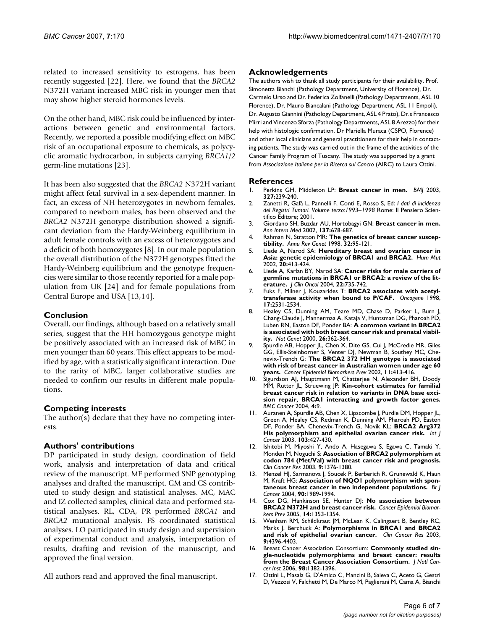related to increased sensitivity to estrogens, has been recently suggested [22]. Here, we found that the *BRCA2* N372H variant increased MBC risk in younger men that may show higher steroid hormones levels.

On the other hand, MBC risk could be influenced by interactions between genetic and environmental factors. Recently, we reported a possible modifying effect on MBC risk of an occupational exposure to chemicals, as polycyclic aromatic hydrocarbon, in subjects carrying *BRCA1/2* germ-line mutations [23].

It has been also suggested that the *BRCA2* N372H variant might affect fetal survival in a sex-dependent manner. In fact, an excess of NH heterozygotes in newborn females, compared to newborn males, has been observed and the *BRCA2* N372H genotype distribution showed a significant deviation from the Hardy-Weinberg equilibrium in adult female controls with an excess of heterozygotes and a deficit of both homozygotes [8]. In our male population the overall distribution of the N372H genotypes fitted the Hardy-Weinberg equilibrium and the genotype frequencies were similar to those recently reported for a male population from UK [24] and for female populations from Central Europe and USA [13,14].

#### **Conclusion**

Overall, our findings, although based on a relatively small series, suggest that the HH homozygous genotype might be positively associated with an increased risk of MBC in men younger than 60 years. This effect appears to be modified by age, with a statistically significant interaction. Due to the rarity of MBC, larger collaborative studies are needed to confirm our results in different male populations.

#### **Competing interests**

The author(s) declare that they have no competing interests.

#### **Authors' contributions**

DP participated in study design, coordination of field work, analysis and interpretation of data and critical review of the manuscript. MF performed SNP genotyping analyses and drafted the manuscript. GM and CS contributed to study design and statistical analyses. MC, MAC and IZ collected samples, clinical data and performed statistical analyses. RL, CDA, PR performed *BRCA1* and *BRCA2* mutational analysis. FS coordinated statistical analyses. LO participated in study design and supervision of experimental conduct and analysis, interpretation of results, drafting and revision of the manuscript, and approved the final version.

All authors read and approved the final manuscript.

#### **Acknowledgements**

The authors wish to thank all study participants for their availability, Prof. Simonetta Bianchi (Pathology Department, University of Florence), Dr. Carmelo Urso and Dr. Federica Zolfanelli (Pathology Departments, ASL 10 Florence), Dr. Mauro Biancalani (Pathology Department, ASL 11 Empoli), Dr. Augusto Giannini (Pathology Department, ASL 4 Prato), Dr.s Francesco Mirri and Vincenzo Sforza (Pathology Departments, ASL 8 Arezzo) for their help with histologic confirmation, Dr Mariella Muraca (CSPO, Florence) and other local clinicians and general practitioners for their help in contacting patients. The study was carried out in the frame of the activities of the Cancer Family Program of Tuscany. The study was supported by a grant from *Associazione Italiana per la Ricerca sul Cancro* (AIRC) to Laura Ottini.

#### **References**

- 1. Perkins GH, Middleton LP: **[Breast cancer in men.](http://www.ncbi.nlm.nih.gov/entrez/query.fcgi?cmd=Retrieve&db=PubMed&dopt=Abstract&list_uids=12896911)** *BMJ* 2003, **327:**239-240.
- 2. Zanetti R, Gafà L, Pannelli F, Conti E, Rosso S, Ed: *I dati di incidenza dei Registri Tumori. Volume terzo:1993–1998* Rome: Il Pensiero Scientifico Editore; 2001.
- 3. Giordano SH, Buzdar AU, Hortobagyi GN: **[Breast cancer in men.](http://www.ncbi.nlm.nih.gov/entrez/query.fcgi?cmd=Retrieve&db=PubMed&dopt=Abstract&list_uids=12379069)** *Ann Intern Med* 2002, **137:**678-687.
- 4. Rahman N, Stratton MR: **[The genetics of breast cancer suscep](http://www.ncbi.nlm.nih.gov/entrez/query.fcgi?cmd=Retrieve&db=PubMed&dopt=Abstract&list_uids=9928476)[tibility.](http://www.ncbi.nlm.nih.gov/entrez/query.fcgi?cmd=Retrieve&db=PubMed&dopt=Abstract&list_uids=9928476)** *Annu Rev Genet* 1998, **32:**95-121.
- 5. Liede A, Narod SA: **[Hereditary breast and ovarian cancer in](http://www.ncbi.nlm.nih.gov/entrez/query.fcgi?cmd=Retrieve&db=PubMed&dopt=Abstract&list_uids=12442265) [Asia: genetic epidemiology of BRCA1 and BRCA2.](http://www.ncbi.nlm.nih.gov/entrez/query.fcgi?cmd=Retrieve&db=PubMed&dopt=Abstract&list_uids=12442265)** *Hum Mut* 2002, **20:**413-424.
- 6. Liede A, Karlan BY, Narod SA: **[Cancer risks for male carriers of](http://www.ncbi.nlm.nih.gov/entrez/query.fcgi?cmd=Retrieve&db=PubMed&dopt=Abstract&list_uids=14966099) [germline mutations in BRCA1 or BRCA2: a review of the lit](http://www.ncbi.nlm.nih.gov/entrez/query.fcgi?cmd=Retrieve&db=PubMed&dopt=Abstract&list_uids=14966099)[erature.](http://www.ncbi.nlm.nih.gov/entrez/query.fcgi?cmd=Retrieve&db=PubMed&dopt=Abstract&list_uids=14966099)** *J Clin Oncol* 2004, **22:**735-742.
- 7. Fuks F, Milner J, Kouzarides T: **[BRCA2 associates with acetyl](http://www.ncbi.nlm.nih.gov/entrez/query.fcgi?cmd=Retrieve&db=PubMed&dopt=Abstract&list_uids=9824164)[transferase activity when bound to P/CAF.](http://www.ncbi.nlm.nih.gov/entrez/query.fcgi?cmd=Retrieve&db=PubMed&dopt=Abstract&list_uids=9824164)** *Oncogene* 1998, **17:**2531-2534.
- 8. Healey CS, Dunning AM, Teare MD, Chase D, Parker L, Burn J Chang-Claude J, Mannermaa A, Kataja V, Huntsman DG, Pharoah PD, Luben RN, Easton DF, Ponder BA: **[A common variant in BRCA2](http://www.ncbi.nlm.nih.gov/entrez/query.fcgi?cmd=Retrieve&db=PubMed&dopt=Abstract&list_uids=11062481) [is associated with both breast cancer risk and prenatal viabil](http://www.ncbi.nlm.nih.gov/entrez/query.fcgi?cmd=Retrieve&db=PubMed&dopt=Abstract&list_uids=11062481)[ity.](http://www.ncbi.nlm.nih.gov/entrez/query.fcgi?cmd=Retrieve&db=PubMed&dopt=Abstract&list_uids=11062481)** *Nat Genet* 2000, **26:**362-364.
- 9. Spurdle AB, Hopper JL, Chen X, Dite GS, Cui J, McCredie MR, Giles GG, Ellis-Steinborner S, Venter DJ, Newman B, Southey MC, Chenevix-Trench G: **[The BRCA2 372 HH genotype is associated](http://www.ncbi.nlm.nih.gov/entrez/query.fcgi?cmd=Retrieve&db=PubMed&dopt=Abstract&list_uids=11927503) [with risk of breast cancer in Australian women under age 60](http://www.ncbi.nlm.nih.gov/entrez/query.fcgi?cmd=Retrieve&db=PubMed&dopt=Abstract&list_uids=11927503) [years.](http://www.ncbi.nlm.nih.gov/entrez/query.fcgi?cmd=Retrieve&db=PubMed&dopt=Abstract&list_uids=11927503)** *Cancer Epidemiol Biomarkers Prev* 2002, **11:**413-416.
- 10. Sigurdson AJ, Hauptmann M, Chatterjee N, Alexander BH, Doody MM, Rutter JL, Struewing JP: **[Kin-cohort estimates for familial](http://www.ncbi.nlm.nih.gov/entrez/query.fcgi?cmd=Retrieve&db=PubMed&dopt=Abstract&list_uids=15113441) breast cancer risk in relation to variants in DNA base exci[sion repair, BRCA1 interacting and growth factor genes.](http://www.ncbi.nlm.nih.gov/entrez/query.fcgi?cmd=Retrieve&db=PubMed&dopt=Abstract&list_uids=15113441)** *BMC Cancer* 2004, **4:**9.
- 11. Auranen A, Spurdle AB, Chen X, Lipscombe J, Purdie DM, Hopper JL, Green A, Healey CS, Redman K, Dunning AM, Pharoah PD, Easton DF, Ponder BA, Chenevix-Trench G, Novik KL: **[BRCA2 Arg372](http://www.ncbi.nlm.nih.gov/entrez/query.fcgi?cmd=Retrieve&db=PubMed&dopt=Abstract&list_uids=12471628) [His polymorphism and epithelial ovarian cancer risk.](http://www.ncbi.nlm.nih.gov/entrez/query.fcgi?cmd=Retrieve&db=PubMed&dopt=Abstract&list_uids=12471628)** *Int J Cancer* 2003, **103:**427-430.
- 12. Ishitobi M, Miyoshi Y, Ando A, Hasegawa S, Egawa C, Tamaki Y, Monden M, Noguchi S: **[Association of BRCA2 polymorphism at](http://www.ncbi.nlm.nih.gov/entrez/query.fcgi?cmd=Retrieve&db=PubMed&dopt=Abstract&list_uids=12684407) [codon 784 \(Met/Val\) with breast cancer risk and prognosis.](http://www.ncbi.nlm.nih.gov/entrez/query.fcgi?cmd=Retrieve&db=PubMed&dopt=Abstract&list_uids=12684407)** *Clin Cancer Res* 2003, **9:**1376-1380.
- 13. Menzel HJ, Sarmanova J, Soucek P, Berberich R, Grunewald K, Haun M, Kraft HG: **[Association of NQO1 polymorphism with spon](http://www.ncbi.nlm.nih.gov/entrez/query.fcgi?cmd=Retrieve&db=PubMed&dopt=Abstract&list_uids=15138483)[taneous breast cancer in two independent populations.](http://www.ncbi.nlm.nih.gov/entrez/query.fcgi?cmd=Retrieve&db=PubMed&dopt=Abstract&list_uids=15138483)** *Br J Cancer* 2004, **90:**1989-1994.
- 14. Cox DG, Hankinson SE, Hunter DJ: **[No association between](http://www.ncbi.nlm.nih.gov/entrez/query.fcgi?cmd=Retrieve&db=PubMed&dopt=Abstract&list_uids=15894703) [BRCA2 N372H and breast cancer risk.](http://www.ncbi.nlm.nih.gov/entrez/query.fcgi?cmd=Retrieve&db=PubMed&dopt=Abstract&list_uids=15894703)** *Cancer Epidemiol Biomarkers Prev* 2005, **14:**1353-1354.
- 15. Wenham RM, Schildkraut JM, McLean K, Calingaert B, Bentley RC, Marks J, Berchuck A: **[Polymorphisms in BRCA1 and BRCA2](http://www.ncbi.nlm.nih.gov/entrez/query.fcgi?cmd=Retrieve&db=PubMed&dopt=Abstract&list_uids=14555511) [and risk of epithelial ovarian cancer.](http://www.ncbi.nlm.nih.gov/entrez/query.fcgi?cmd=Retrieve&db=PubMed&dopt=Abstract&list_uids=14555511)** *Clin Cancer Res* 2003, **9:**4396-4403.
- 16. Breast Cancer Association Consortium: **[Commonly studied sin](http://www.ncbi.nlm.nih.gov/entrez/query.fcgi?cmd=Retrieve&db=PubMed&dopt=Abstract&list_uids=17018785)[gle-nucleotide polymorphisms and breast cancer: results](http://www.ncbi.nlm.nih.gov/entrez/query.fcgi?cmd=Retrieve&db=PubMed&dopt=Abstract&list_uids=17018785) [from the Breast Cancer Association Consortium.](http://www.ncbi.nlm.nih.gov/entrez/query.fcgi?cmd=Retrieve&db=PubMed&dopt=Abstract&list_uids=17018785)** *J Natl Cancer Inst* 2006, **98:**1382-1396.
- 17. Ottini L, Masala G, D'Amico C, Mancini B, Saieva C, Aceto G, Gestri D, Vezzosi V, Falchetti M, De Marco M, Paglierani M, Cama A, Bianchi